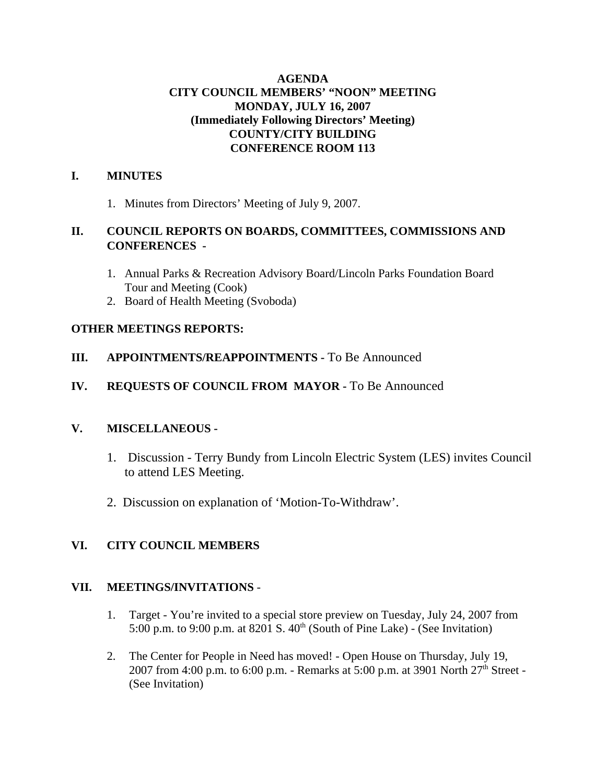# **AGENDA CITY COUNCIL MEMBERS' "NOON" MEETING MONDAY, JULY 16, 2007 (Immediately Following Directors' Meeting) COUNTY/CITY BUILDING CONFERENCE ROOM 113**

# **I. MINUTES**

1. Minutes from Directors' Meeting of July 9, 2007.

# **II. COUNCIL REPORTS ON BOARDS, COMMITTEES, COMMISSIONS AND CONFERENCES -**

- 1. Annual Parks & Recreation Advisory Board/Lincoln Parks Foundation Board Tour and Meeting (Cook)
- 2. Board of Health Meeting (Svoboda)

# **OTHER MEETINGS REPORTS:**

# **III. APPOINTMENTS/REAPPOINTMENTS -** To Be Announced

# **IV. REQUESTS OF COUNCIL FROM MAYOR -** To Be Announced

# **V. MISCELLANEOUS -**

- 1. Discussion Terry Bundy from Lincoln Electric System (LES) invites Council to attend LES Meeting.
- 2. Discussion on explanation of 'Motion-To-Withdraw'.

# **VI. CITY COUNCIL MEMBERS**

# **VII. MEETINGS/INVITATIONS** -

- 1. Target You're invited to a special store preview on Tuesday, July 24, 2007 from 5:00 p.m. to 9:00 p.m. at 8201 S.  $40^{th}$  (South of Pine Lake) - (See Invitation)
- 2. The Center for People in Need has moved! Open House on Thursday, July 19, 2007 from 4:00 p.m. to 6:00 p.m. - Remarks at 5:00 p.m. at 3901 North  $27<sup>th</sup>$  Street -(See Invitation)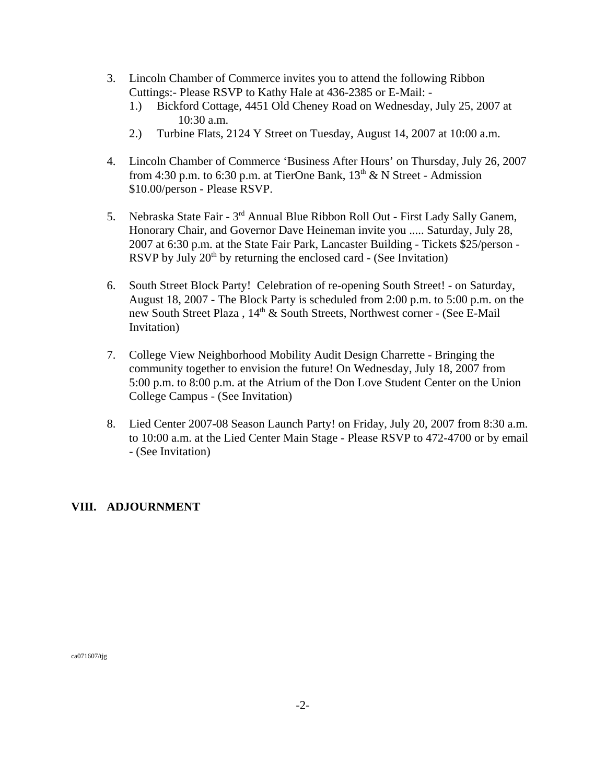- 3. Lincoln Chamber of Commerce invites you to attend the following Ribbon Cuttings:- Please RSVP to Kathy Hale at 436-2385 or E-Mail: -
	- 1.) Bickford Cottage, 4451 Old Cheney Road on Wednesday, July 25, 2007 at 10:30 a.m.
	- 2.) Turbine Flats, 2124 Y Street on Tuesday, August 14, 2007 at 10:00 a.m.
- 4. Lincoln Chamber of Commerce 'Business After Hours' on Thursday, July 26, 2007 from 4:30 p.m. to 6:30 p.m. at TierOne Bank,  $13<sup>th</sup>$  & N Street - Admission \$10.00/person - Please RSVP.
- 5. Nebraska State Fair 3rd Annual Blue Ribbon Roll Out First Lady Sally Ganem, Honorary Chair, and Governor Dave Heineman invite you ..... Saturday, July 28, 2007 at 6:30 p.m. at the State Fair Park, Lancaster Building - Tickets \$25/person - RSVP by July  $20<sup>th</sup>$  by returning the enclosed card - (See Invitation)
- 6. South Street Block Party! Celebration of re-opening South Street! on Saturday, August 18, 2007 - The Block Party is scheduled from 2:00 p.m. to 5:00 p.m. on the new South Street Plaza,  $14<sup>th</sup>$  & South Streets, Northwest corner - (See E-Mail Invitation)
- 7. College View Neighborhood Mobility Audit Design Charrette Bringing the community together to envision the future! On Wednesday, July 18, 2007 from 5:00 p.m. to 8:00 p.m. at the Atrium of the Don Love Student Center on the Union College Campus - (See Invitation)
- 8. Lied Center 2007-08 Season Launch Party! on Friday, July 20, 2007 from 8:30 a.m. to 10:00 a.m. at the Lied Center Main Stage - Please RSVP to 472-4700 or by email - (See Invitation)

## **VIII. ADJOURNMENT**

ca071607/tjg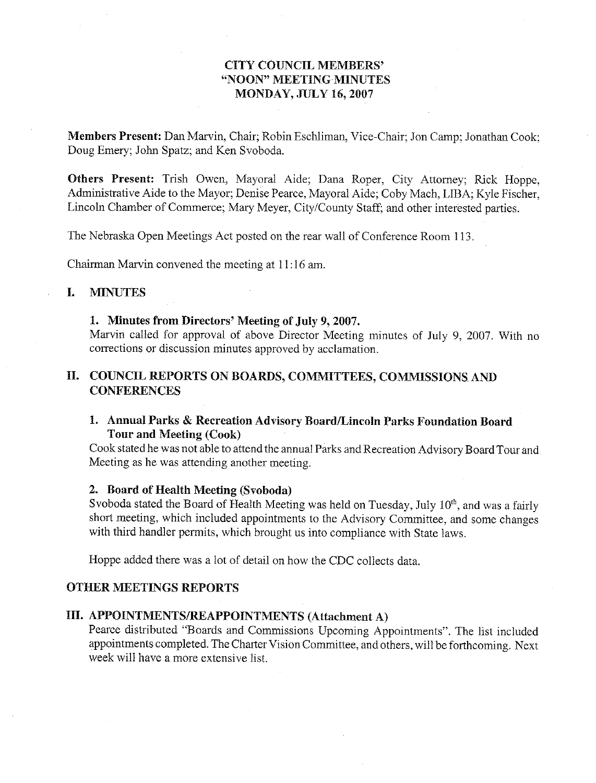## **CITY COUNCIL MEMBERS'** "NOON" MEETING MINUTES **MONDAY, JULY 16, 2007**

Members Present: Dan Marvin, Chair; Robin Eschliman, Vice-Chair; Jon Camp; Jonathan Cook; Doug Emery; John Spatz; and Ken Svoboda.

Others Present: Trish Owen, Mayoral Aide; Dana Roper, City Attorney; Rick Hoppe, Administrative Aide to the Mayor; Denise Pearce, Mayoral Aide; Coby Mach, LIBA; Kyle Fischer, Lincoln Chamber of Commerce; Mary Meyer, City/County Staff; and other interested parties.

The Nebraska Open Meetings Act posted on the rear wall of Conference Room 113.

Chairman Marvin convened the meeting at 11:16 am.

#### $\mathbf{I}$ . **MINUTES**

#### 1. Minutes from Directors' Meeting of July 9, 2007.

Marvin called for approval of above Director Meeting minutes of July 9, 2007. With no corrections or discussion minutes approved by acclamation.

## II. COUNCIL REPORTS ON BOARDS, COMMITTEES, COMMISSIONS AND **CONFERENCES**

## 1. Annual Parks & Recreation Advisory Board/Lincoln Parks Foundation Board **Tour and Meeting (Cook)**

Cook stated he was not able to attend the annual Parks and Recreation Advisory Board Tour and Meeting as he was attending another meeting.

#### 2. Board of Health Meeting (Svoboda)

Svoboda stated the Board of Health Meeting was held on Tuesday, July 10<sup>th</sup>, and was a fairly short meeting, which included appointments to the Advisory Committee, and some changes with third handler permits, which brought us into compliance with State laws.

Hoppe added there was a lot of detail on how the CDC collects data.

#### **OTHER MEETINGS REPORTS**

## III. APPOINTMENTS/REAPPOINTMENTS (Attachment A)

Pearce distributed "Boards and Commissions Upcoming Appointments". The list included appointments completed. The Charter Vision Committee, and others, will be forthcoming. Next week will have a more extensive list.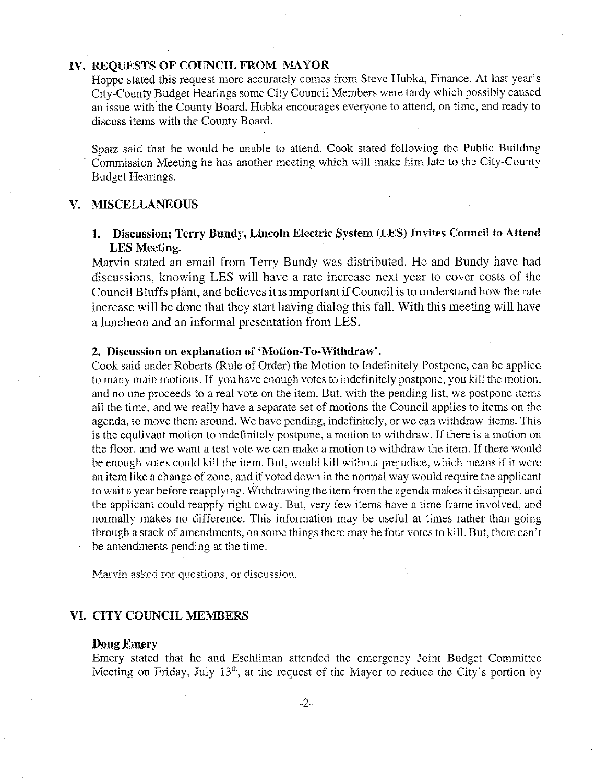## IV. REOUESTS OF COUNCIL FROM MAYOR

Hoppe stated this request more accurately comes from Steve Hubka, Finance. At last year's City-County Budget Hearings some City Council Members were tardy which possibly caused an issue with the County Board. Hubka encourages everyone to attend, on time, and ready to discuss items with the County Board.

Spatz said that he would be unable to attend. Cook stated following the Public Building Commission Meeting he has another meeting which will make him late to the City-County Budget Hearings.

#### V. MISCELLANEOUS

## 1. Discussion; Terry Bundy, Lincoln Electric System (LES) Invites Council to Attend **LES** Meeting.

Marvin stated an email from Terry Bundy was distributed. He and Bundy have had discussions, knowing LES will have a rate increase next year to cover costs of the Council Bluffs plant, and believes it is important if Council is to understand how the rate increase will be done that they start having dialog this fall. With this meeting will have a luncheon and an informal presentation from LES.

#### 2. Discussion on explanation of 'Motion-To-Withdraw'.

Cook said under Roberts (Rule of Order) the Motion to Indefinitely Postpone, can be applied to many main motions. If you have enough votes to indefinitely postpone, you kill the motion, and no one proceeds to a real vote on the item. But, with the pending list, we postpone items all the time, and we really have a separate set of motions the Council applies to items on the agenda, to move them around. We have pending, indefinitely, or we can withdraw items. This is the equilvant motion to indefinitely postpone, a motion to withdraw. If there is a motion on the floor, and we want a test vote we can make a motion to withdraw the item. If there would be enough votes could kill the item. But, would kill without prejudice, which means if it were an item like a change of zone, and if voted down in the normal way would require the applicant to wait a year before reapplying. Withdrawing the item from the agenda makes it disappear, and the applicant could reapply right away. But, very few items have a time frame involved, and normally makes no difference. This information may be useful at times rather than going through a stack of amendments, on some things there may be four votes to kill. But, there can't be amendments pending at the time.

Marvin asked for questions, or discussion.

#### VI. CITY COUNCIL MEMBERS

#### **Doug Emery**

Emery stated that he and Eschliman attended the emergency Joint Budget Committee Meeting on Friday, July 13<sup>th</sup>, at the request of the Mayor to reduce the City's portion by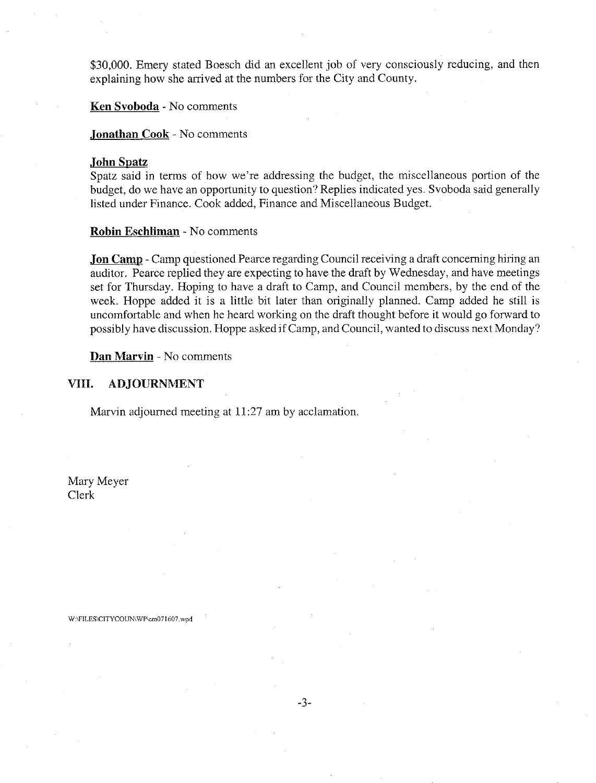\$30,000. Emery stated Boesch did an excellent job of very consciously reducing, and then explaining how she arrived at the numbers for the City and County.

Ken Svoboda - No comments

Jonathan Cook - No comments

#### **John Spatz**

Spatz said in terms of how we're addressing the budget, the miscellaneous portion of the budget, do we have an opportunity to question? Replies indicated yes. Svoboda said generally listed under Finance. Cook added, Finance and Miscellaneous Budget.

Robin Eschliman - No comments

**Jon Camp** - Camp questioned Pearce regarding Council receiving a draft concerning hiring an auditor. Pearce replied they are expecting to have the draft by Wednesday, and have meetings set for Thursday. Hoping to have a draft to Camp, and Council members, by the end of the week. Hoppe added it is a little bit later than originally planned. Camp added he still is uncomfortable and when he heard working on the draft thought before it would go forward to possibly have discussion. Hoppe asked if Camp, and Council, wanted to discuss next Monday?

Dan Marvin - No comments

#### VIII. **ADJOURNMENT**

W:\FILES\CITYCOUN\WP\cm071607.wpd

Marvin adjourned meeting at 11:27 am by acclamation.

Mary Meyer Clerk

 $-3-$